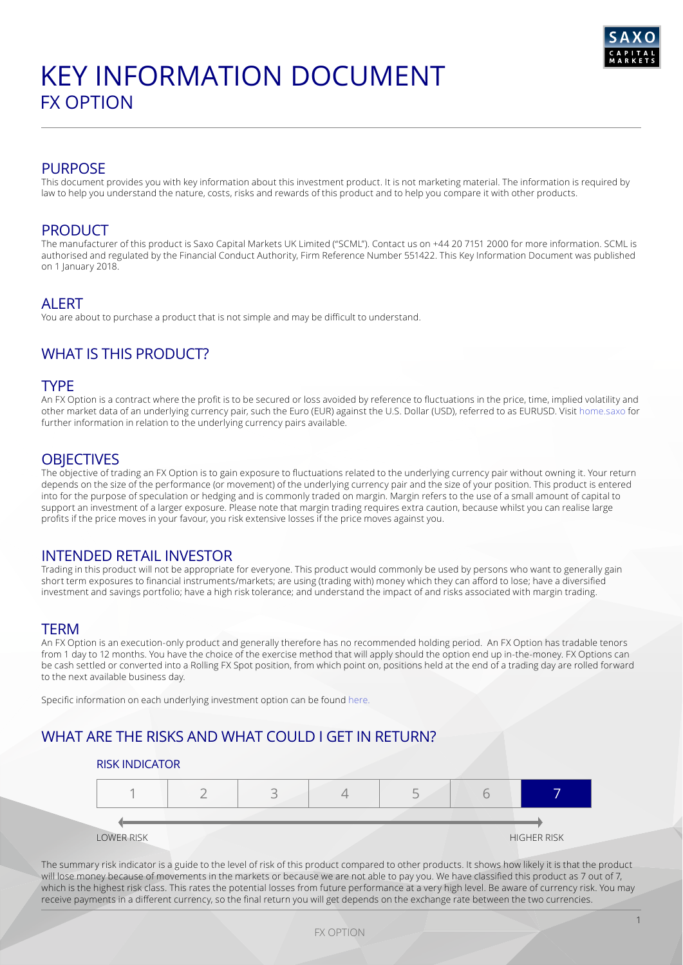

## PURPOSE

This document provides you with key information about this investment product. It is not marketing material. The information is required by law to help you understand the nature, costs, risks and rewards of this product and to help you compare it with other products.

## PRODUCT

The manufacturer of this product is Saxo Capital Markets UK Limited ("SCML"). Contact us on +44 20 7151 2000 for more information. SCML is authorised and regulated by the Financial Conduct Authority, Firm Reference Number 551422. This Key Information Document was published on 1 January 2018.

### ALERT

You are about to purchase a product that is not simple and may be difficult to understand.

# WHAT IS THIS PRODUCT?

### TYPE

An FX Option is a contract where the profit is to be secured or loss avoided by reference to fluctuations in the price, time, implied volatility and other market data of an underlying currency pair, such the Euro (EUR) against the U.S. Dollar (USD), referred to as EURUSD. Visit [home.saxo](https://www.home.saxo/en-gb) for further information in relation to the underlying currency pairs available.

### **OBJECTIVES**

The objective of trading an FX Option is to gain exposure to fluctuations related to the underlying currency pair without owning it. Your return depends on the size of the performance (or movement) of the underlying currency pair and the size of your position. This product is entered into for the purpose of speculation or hedging and is commonly traded on margin. Margin refers to the use of a small amount of capital to support an investment of a larger exposure. Please note that margin trading requires extra caution, because whilst you can realise large profits if the price moves in your favour, you risk extensive losses if the price moves against you.

## INTENDED RETAIL INVESTOR

Trading in this product will not be appropriate for everyone. This product would commonly be used by persons who want to generally gain short term exposures to financial instruments/markets; are using (trading with) money which they can afford to lose; have a diversified investment and savings portfolio; have a high risk tolerance; and understand the impact of and risks associated with margin trading.

### **TERM**

An FX Option is an execution-only product and generally therefore has no recommended holding period. An FX Option has tradable tenors from 1 day to 12 months. You have the choice of the exercise method that will apply should the option end up in-the-money. FX Options can be cash settled or converted into a Rolling FX Spot position, from which point on, positions held at the end of a trading day are rolled forward to the next available business day.

Specific information on each underlying investment option can be found [here.](https://www.home.saxo/en-gb/-/media/documents/business-terms-and-policies/product-disclosure-statement.pdf)

## WHAT ARE THE RISKS AND WHAT COULD I GET IN RETURN?

### RISK INDICATOR



The summary risk indicator is a guide to the level of risk of this product compared to other products. It shows how likely it is that the product will lose money because of movements in the markets or because we are not able to pay you. We have classified this product as 7 out of 7, which is the highest risk class. This rates the potential losses from future performance at a very high level. Be aware of currency risk. You may receive payments in a different currency, so the final return you will get depends on the exchange rate between the two currencies.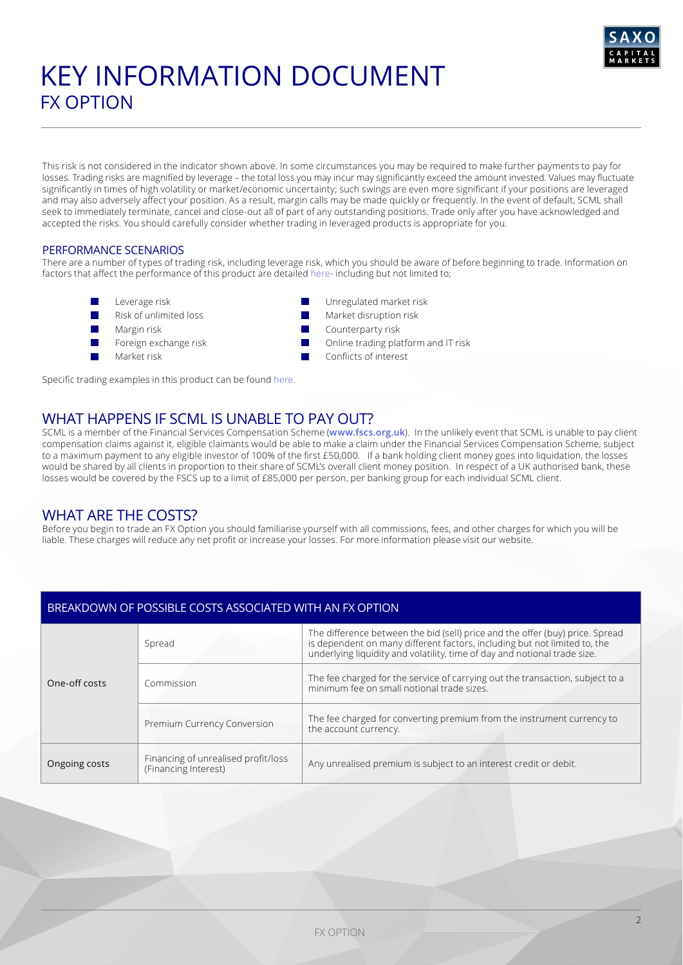

# KEY INFORMATION DOCUMENT FX OPTION

This risk is not considered in the indicator shown above. In some circumstances you may be required to make further payments to pay for losses. Trading risks are magnified by leverage – the total loss you may incur may significantly exceed the amount invested. Values may fluctuate significantly in times of high volatility or market/economic uncertainty; such swings are even more significant if your positions are leveraged and may also adversely affect your position. As a result, margin calls may be made quickly or frequently. In the event of default, SCML shall seek to immediately terminate, cancel and close-out all of part of any outstanding positions. Trade only after you have acknowledged and accepted the risks. You should carefully consider whether trading in leveraged products is appropriate for you.

### PERFORMANCE SCENARIOS

There are a number of types of trading risk, including leverage risk, which you should be aware of before beginning to trade. Information on factors that affect the performance of this product are detailed [here](https://www.home.saxo/en-gb/-/media/documents/business-terms-and-policies/product-disclosure-statement.pdf)- including but not limited to;

- Leverage risk
- Risk of unlimited loss
- Margin risk
- Foreign exchange risk
- Market risk

Unregulated market risk

- Market disruption risk
- Counterparty risk
- Online trading platform and IT risk
- Conflicts of interest

Specific trading examples in this product can be found [here.](https://www.home.saxo/en-gb/-/media/documents/business-terms-and-policies/product-disclosure-statement.pdf)

## WHAT HAPPENS IF SCML IS UNABLE TO PAY OUT?

SCML is a member of the Financial Services Compensation Scheme (**[www.fscs.org.uk](http://www.fscs.org.uk)**). In the unlikely event that SCML is unable to pay client compensation claims against it, eligible claimants would be able to make a claim under the Financial Services Compensation Scheme, subject to a maximum payment to any eligible investor of 100% of the first £50,000. If a bank holding client money goes into liquidation, the losses would be shared by all clients in proportion to their share of SCML's overall client money position. In respect of a UK authorised bank, these losses would be covered by the FSCS up to a limit of £85,000 per person, per banking group for each individual SCML client.

## WHAT ARE THE COSTS?

Before you begin to trade an FX Option you should familiarise yourself with all commissions, fees, and other charges for which you will be liable. These charges will reduce any net profit or increase your losses. For more information please visit our website.

### BREAKDOWN OF POSSIBLE COSTS ASSOCIATED WITH AN FX OPTION

| One-off costs | Spread                                                      | The difference between the bid (sell) price and the offer (buy) price. Spread<br>is dependent on many different factors, including but not limited to, the<br>underlying liquidity and volatility, time of day and notional trade size. |
|---------------|-------------------------------------------------------------|-----------------------------------------------------------------------------------------------------------------------------------------------------------------------------------------------------------------------------------------|
|               | Commission                                                  | The fee charged for the service of carrying out the transaction, subject to a<br>minimum fee on small notional trade sizes.                                                                                                             |
|               | Premium Currency Conversion                                 | The fee charged for converting premium from the instrument currency to<br>the account currency.                                                                                                                                         |
| Ongoing costs | Financing of unrealised profit/loss<br>(Financing Interest) | Any unrealised premium is subject to an interest credit or debit.                                                                                                                                                                       |